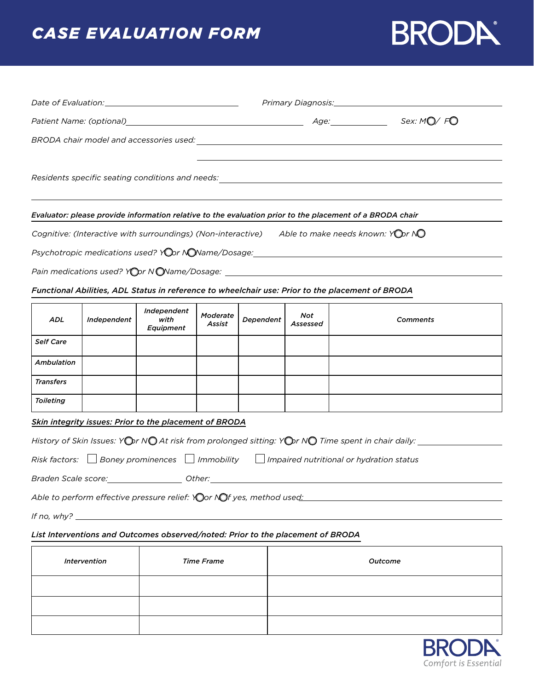# *CASE EVALUATION FORM*

# **BRODA**

|                      |                     |                                                                                 |                    |           |                 | Evaluator: please provide information relative to the evaluation prior to the placement of a BRODA chair                                                                                                                      |          |  |
|----------------------|---------------------|---------------------------------------------------------------------------------|--------------------|-----------|-----------------|-------------------------------------------------------------------------------------------------------------------------------------------------------------------------------------------------------------------------------|----------|--|
|                      |                     |                                                                                 |                    |           |                 | Cognitive: (Interactive with surroundings) (Non-interactive) Able to make needs known: YODr NO                                                                                                                                |          |  |
|                      |                     |                                                                                 |                    |           |                 | Psychotropic medications used? Your No Name/Dosage: www.charger.com/www.charger.com/www.charger.com/                                                                                                                          |          |  |
|                      |                     |                                                                                 |                    |           |                 |                                                                                                                                                                                                                               |          |  |
|                      |                     |                                                                                 |                    |           |                 | Functional Abilities, ADL Status in reference to wheelchair use: Prior to the placement of BRODA                                                                                                                              |          |  |
| ADL                  | Independent         | Independent<br>with<br><b>Equipment</b>                                         | Moderate<br>Assist | Dependent | Not<br>Assessed |                                                                                                                                                                                                                               | Comments |  |
| <b>Self Care</b>     |                     |                                                                                 |                    |           |                 |                                                                                                                                                                                                                               |          |  |
| Ambulation           |                     |                                                                                 |                    |           |                 |                                                                                                                                                                                                                               |          |  |
| <b>Transfers</b>     |                     |                                                                                 |                    |           |                 |                                                                                                                                                                                                                               |          |  |
| Toileting            |                     |                                                                                 |                    |           |                 |                                                                                                                                                                                                                               |          |  |
|                      |                     | <b>Skin integrity issues: Prior to the placement of BRODA</b>                   |                    |           |                 |                                                                                                                                                                                                                               |          |  |
|                      |                     |                                                                                 |                    |           |                 |                                                                                                                                                                                                                               |          |  |
| $Risk$ factors: $\ $ |                     |                                                                                 |                    |           |                 | Boney prominences $\Box$ Immobility $\Box$ Impaired nutritional or hydration status                                                                                                                                           |          |  |
|                      |                     |                                                                                 |                    |           |                 | Braden Scale score: _____________________ Other: ________________________________                                                                                                                                             |          |  |
|                      |                     |                                                                                 |                    |           |                 | Able to perform effective pressure relief: Yor Nof yes, method used: North Mathematic method is a strategy of the strategy of the strategy of the strategy of the strategy of the strategy of the strategy of the strategy of |          |  |
|                      |                     | If no, $why?$                                                                   |                    |           |                 |                                                                                                                                                                                                                               |          |  |
|                      |                     | List Interventions and Outcomes observed/noted: Prior to the placement of BRODA |                    |           |                 |                                                                                                                                                                                                                               |          |  |
|                      | <b>Intervention</b> |                                                                                 | <b>Time Frame</b>  |           |                 | Outcome                                                                                                                                                                                                                       |          |  |



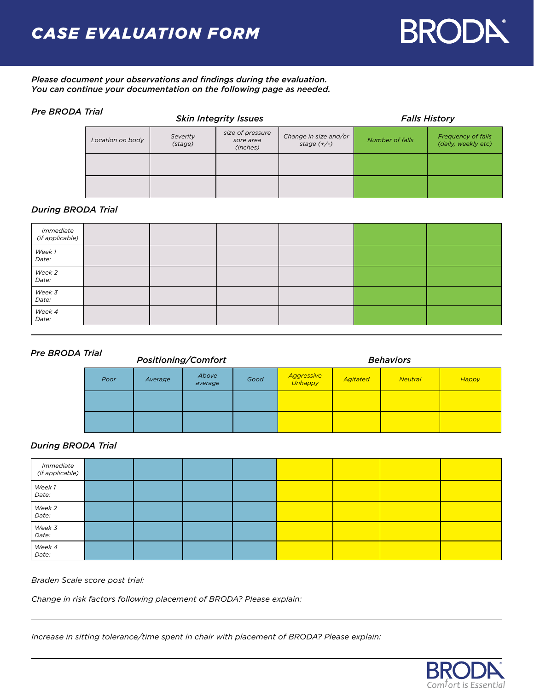

*Please document your observations and findings during the evaluation. You can continue your documentation on the following page as needed.* 

## *Pre BRODA Trial*

| <i>uu</i>        |                     | <b>Skin Integrity Issues</b>              | <b>Falls History</b>                   |                        |                                                  |  |
|------------------|---------------------|-------------------------------------------|----------------------------------------|------------------------|--------------------------------------------------|--|
| Location on body | Severity<br>(stage) | size of pressure<br>sore area<br>(Inches) | Change in size and/or<br>stage $(+/-)$ | <b>Number of falls</b> | <b>Frequency of falls</b><br>(daily, weekly etc) |  |
|                  |                     |                                           |                                        |                        |                                                  |  |
|                  |                     |                                           |                                        |                        |                                                  |  |

## *During BRODA Trial*

| <i>Immediate<br/>(if applicable)</i> |  |  |  |
|--------------------------------------|--|--|--|
| Week 1<br>Date:                      |  |  |  |
| Week 2<br>Date:                      |  |  |  |
| Week 3<br>Date:                      |  |  |  |
| Week 4<br>Date:                      |  |  |  |

#### *Pre BRODA Trial*

| ırıaı<br><b>Positioning/Comfort</b> |         |                  |      | <b>Behaviors</b>      |                 |                |              |  |
|-------------------------------------|---------|------------------|------|-----------------------|-----------------|----------------|--------------|--|
| Poor                                | Average | Above<br>average | Good | Aggressive<br>Unhappy | <b>Agitated</b> | <b>Neutral</b> | <b>Happy</b> |  |
|                                     |         |                  |      |                       |                 |                |              |  |
|                                     |         |                  |      |                       |                 |                |              |  |

## *During BRODA Trial*

| <i>Immediate<br/>(if applicable)</i> |  |  |  |  |
|--------------------------------------|--|--|--|--|
| Week 1<br>Date:                      |  |  |  |  |
| Week 2<br>Date:                      |  |  |  |  |
| Week 3<br>Date:                      |  |  |  |  |
| Week 4<br>Date:                      |  |  |  |  |

*Braden Scale score post trial:*

*Change in risk factors following placement of BRODA? Please explain:*

*Increase in sitting tolerance/time spent in chair with placement of BRODA? Please explain:*